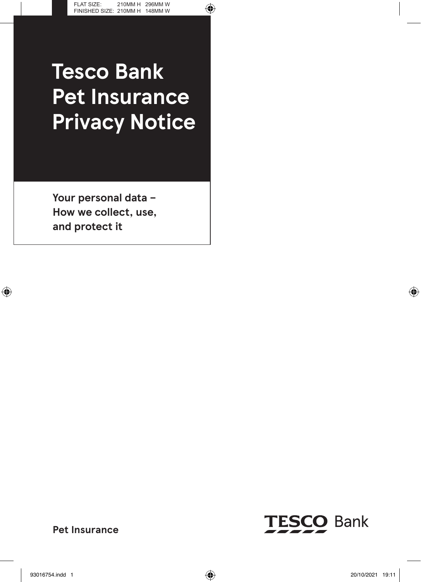# **Tesco Bank Pet Insurance Privacy Notice**

**Your personal data – How we collect, use, and protect it**



**Pet Insurance**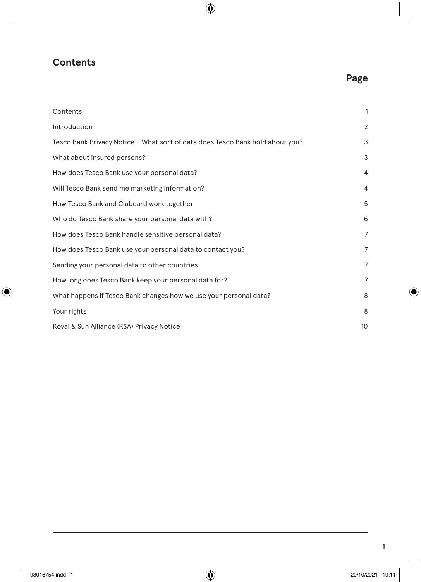# **Contents**

# **Page**

| Contents                                                                      | 1              |
|-------------------------------------------------------------------------------|----------------|
| Introduction                                                                  | $\overline{2}$ |
| Tesco Bank Privacy Notice - What sort of data does Tesco Bank hold about you? | 3              |
| What about insured persons?                                                   | 3              |
| How does Tesco Bank use your personal data?                                   | $\overline{4}$ |
| Will Tesco Bank send me marketing information?                                | $\overline{4}$ |
| How Tesco Bank and Clubcard work together                                     | 5              |
| Who do Tesco Bank share your personal data with?                              | 6              |
| How does Tesco Bank handle sensitive personal data?                           | $\overline{7}$ |
| How does Tesco Bank use your personal data to contact you?                    | $\overline{7}$ |
| Sending your personal data to other countries                                 | 7              |
| How long does Tesco Bank keep your personal data for?                         | $\overline{7}$ |
| What happens if Tesco Bank changes how we use your personal data?             | 8              |
| Your rights                                                                   | 8              |
| Royal & Sun Alliance (RSA) Privacy Notice                                     | 10             |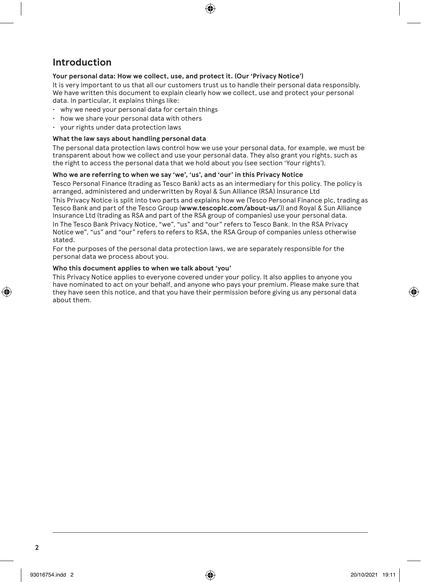# **Introduction**

### **Your personal data: How we collect, use, and protect it. (Our 'Privacy Notice')**

It is very important to us that all our customers trust us to handle their personal data responsibly. We have written this document to explain clearly how we collect, use and protect your personal data. In particular, it explains things like:

- why we need your personal data for certain things
- how we share your personal data with others
- your rights under data protection laws

### **What the law says about handling personal data**

The personal data protection laws control how we use your personal data, for example, we must be transparent about how we collect and use your personal data. They also grant you rights, such as the right to access the personal data that we hold about you (see section 'Your rights').

### **Who we are referring to when we say 'we', 'us', and 'our' in this Privacy Notice**

Tesco Personal Finance (trading as Tesco Bank) acts as an intermediary for this policy. The policy is arranged, administered and underwritten by Royal & Sun Alliance (RSA) Insurance Ltd This Privacy Notice is split into two parts and explains how we (Tesco Personal Finance plc, trading as Tesco Bank and part of the Tesco Group (**www.tescoplc.com/about-us/**)) and Royal & Sun Alliance Insurance Ltd (trading as RSA and part of the RSA group of companies) use your personal data. In The Tesco Bank Privacy Notice, "we", "us" and "our" refers to Tesco Bank. In the RSA Privacy Notice we", "us" and "our" refers to refers to RSA, the RSA Group of companies unless otherwise stated.

For the purposes of the personal data protection laws, we are separately responsible for the personal data we process about you.

### **Who this document applies to when we talk about 'you'**

This Privacy Notice applies to everyone covered under your policy. It also applies to anyone you have nominated to act on your behalf, and anyone who pays your premium. Please make sure that they have seen this notice, and that you have their permission before giving us any personal data about them.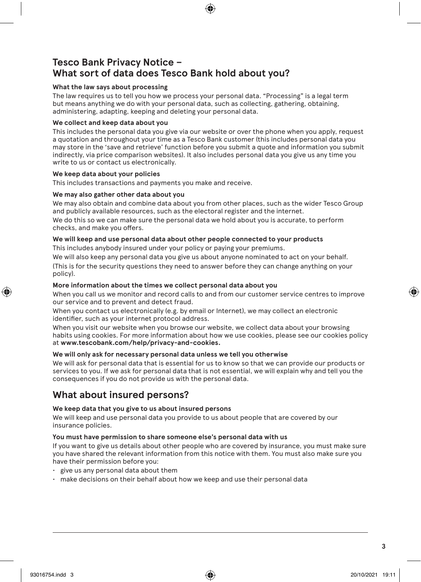# **Tesco Bank Privacy Notice – What sort of data does Tesco Bank hold about you?**

### **What the law says about processing**

The law requires us to tell you how we process your personal data. "Processing" is a legal term but means anything we do with your personal data, such as collecting, gathering, obtaining, administering, adapting, keeping and deleting your personal data.

### **We collect and keep data about you**

This includes the personal data you give via our website or over the phone when you apply, request a quotation and throughout your time as a Tesco Bank customer (this includes personal data you may store in the 'save and retrieve' function before you submit a quote and information you submit indirectly, via price comparison websites). It also includes personal data you give us any time you write to us or contact us electronically.

### **We keep data about your policies**

This includes transactions and payments you make and receive.

### **We may also gather other data about you**

We may also obtain and combine data about you from other places, such as the wider Tesco Group and publicly available resources, such as the electoral register and the internet.

We do this so we can make sure the personal data we hold about you is accurate, to perform checks, and make you offers.

### **We will keep and use personal data about other people connected to your products**

This includes anybody insured under your policy or paying your premiums.

We will also keep any personal data you give us about anyone nominated to act on your behalf.

(This is for the security questions they need to answer before they can change anything on your policy).

### **More information about the times we collect personal data about you**

When you call us we monitor and record calls to and from our customer service centres to improve our service and to prevent and detect fraud.

When you contact us electronically (e.g. by email or Internet), we may collect an electronic identifier, such as your internet protocol address.

When you visit our website when you browse our website, we collect data about your browsing habits using cookies. For more information about how we use cookies, please see our cookies policy at **www.tescobank.com/help/privacy-and-cookies.**

### **We will only ask for necessary personal data unless we tell you otherwise**

We will ask for personal data that is essential for us to know so that we can provide our products or services to you. If we ask for personal data that is not essential, we will explain why and tell you the consequences if you do not provide us with the personal data.

# **What about insured persons?**

### **We keep data that you give to us about insured persons**

We will keep and use personal data you provide to us about people that are covered by our insurance policies.

### **You must have permission to share someone else's personal data with us**

If you want to give us details about other people who are covered by insurance, you must make sure you have shared the relevant information from this notice with them. You must also make sure you have their permission before you:

- give us any personal data about them
- make decisions on their behalf about how we keep and use their personal data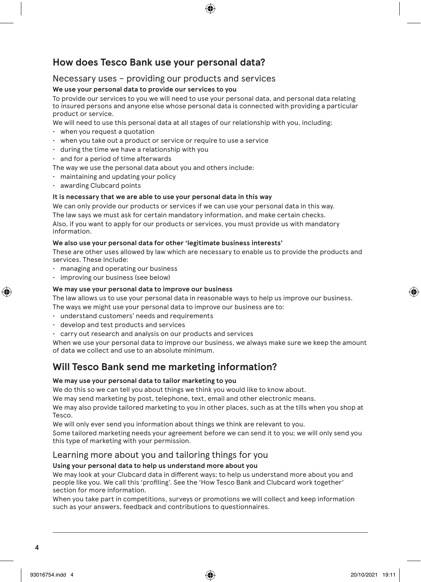# **How does Tesco Bank use your personal data?**

### Necessary uses – providing our products and services

### **We use your personal data to provide our services to you**

To provide our services to you we will need to use your personal data, and personal data relating to insured persons and anyone else whose personal data is connected with providing a particular product or service.

We will need to use this personal data at all stages of our relationship with you, including:

- when you request a quotation
- $\cdot$  when you take out a product or service or require to use a service
- during the time we have a relationship with you
- and for a period of time afterwards
- The way we use the personal data about you and others include:
- maintaining and updating your policy
- awarding Clubcard points

### **It is necessary that we are able to use your personal data in this way**

We can only provide our products or services if we can use your personal data in this way. The law says we must ask for certain mandatory information, and make certain checks. Also, if you want to apply for our products or services, you must provide us with mandatory information.

### **We also use your personal data for other 'legitimate business interests'**

These are other uses allowed by law which are necessary to enable us to provide the products and services. These include:

- managing and operating our business
- improving our business (see below)

### **We may use your personal data to improve our business**

The law allows us to use your personal data in reasonable ways to help us improve our business.

The ways we might use your personal data to improve our business are to:

- understand customers' needs and requirements
- develop and test products and services
- carry out research and analysis on our products and services

When we use your personal data to improve our business, we always make sure we keep the amount of data we collect and use to an absolute minimum.

# **Will Tesco Bank send me marketing information?**

### **We may use your personal data to tailor marketing to you**

We do this so we can tell you about things we think you would like to know about.

We may send marketing by post, telephone, text, email and other electronic means.

We may also provide tailored marketing to you in other places, such as at the tills when you shop at Tesco.

We will only ever send you information about things we think are relevant to you.

Some tailored marketing needs your agreement before we can send it to you; we will only send you this type of marketing with your permission.

### Learning more about you and tailoring things for you

### **Using your personal data to help us understand more about you**

We may look at your Clubcard data in different ways; to help us understand more about you and people like you. We call this 'profiling'. See the 'How Tesco Bank and Clubcard work together' section for more information.

When you take part in competitions, surveys or promotions we will collect and keep information such as your answers, feedback and contributions to questionnaires.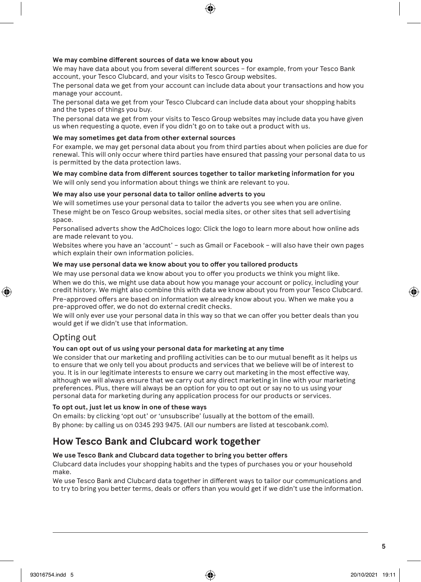### **We may combine different sources of data we know about you**

We may have data about you from several different sources – for example, from your Tesco Bank account, your Tesco Clubcard, and your visits to Tesco Group websites.

The personal data we get from your account can include data about your transactions and how you manage your account.

The personal data we get from your Tesco Clubcard can include data about your shopping habits and the types of things you buy.

The personal data we get from your visits to Tesco Group websites may include data you have given us when requesting a quote, even if you didn't go on to take out a product with us.

### **We may sometimes get data from other external sources**

For example, we may get personal data about you from third parties about when policies are due for renewal. This will only occur where third parties have ensured that passing your personal data to us is permitted by the data protection laws.

**We may combine data from different sources together to tailor marketing information for you** We will only send you information about things we think are relevant to you.

### **We may also use your personal data to tailor online adverts to you**

We will sometimes use your personal data to tailor the adverts you see when you are online. These might be on Tesco Group websites, social media sites, or other sites that sell advertising space.

Personalised adverts show the AdChoices logo: Click the logo to learn more about how online ads are made relevant to you.

Websites where you have an 'account' – such as Gmail or Facebook – will also have their own pages which explain their own information policies.

### **We may use personal data we know about you to offer you tailored products**

We may use personal data we know about you to offer you products we think you might like.

When we do this, we might use data about how you manage your account or policy, including your credit history. We might also combine this with data we know about you from your Tesco Clubcard. Pre-approved offers are based on information we already know about you. When we make you a pre-approved offer, we do not do external credit checks.

We will only ever use your personal data in this way so that we can offer you better deals than you would get if we didn't use that information.

### Opting out

### **You can opt out of us using your personal data for marketing at any time**

We consider that our marketing and profiling activities can be to our mutual benefit as it helps us to ensure that we only tell you about products and services that we believe will be of interest to you. It is in our legitimate interests to ensure we carry out marketing in the most effective way, although we will always ensure that we carry out any direct marketing in line with your marketing preferences. Plus, there will always be an option for you to opt out or say no to us using your personal data for marketing during any application process for our products or services.

### **To opt out, just let us know in one of these ways**

On emails: by clicking 'opt out' or 'unsubscribe' (usually at the bottom of the email). By phone: by calling us on 0345 293 9475. (All our numbers are listed at tescobank.com).

### **How Tesco Bank and Clubcard work together**

### **We use Tesco Bank and Clubcard data together to bring you better offers**

Clubcard data includes your shopping habits and the types of purchases you or your household make.

We use Tesco Bank and Clubcard data together in different ways to tailor our communications and to try to bring you better terms, deals or offers than you would get if we didn't use the information.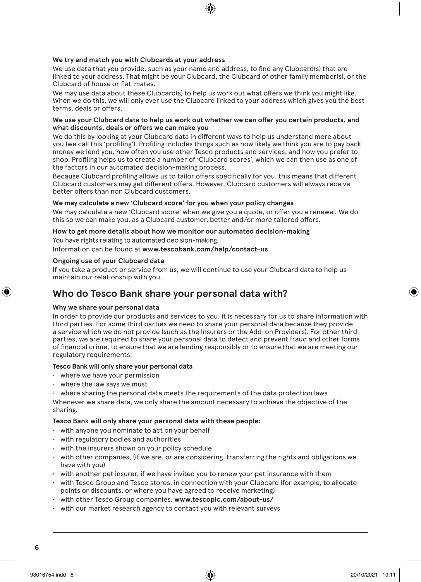### **We try and match you with Clubcards at your address**

We use data that you provide, such as your name and address, to find any Clubcard(s) that are linked to your address. That might be your Clubcard, the Clubcard of other family member(s), or the Clubcard of house or flat-mates.

We may use data about these Clubcard(s) to help us work out what offers we think you might like. When we do this, we will only ever use the Clubcard linked to your address which gives you the best terms, deals or offers.

### **We use your Clubcard data to help us work out whether we can offer you certain products, and what discounts, deals or offers we can make you**

We do this by looking at your Clubcard data in different ways to help us understand more about you (we call this 'profiling'). Profiling includes things such as how likely we think you are to pay back money we lend you, how often you use other Tesco products and services, and how you prefer to shop. Profiling helps us to create a number of 'Clubcard scores', which we can then use as one of the factors in our automated decision-making process.

Because Clubcard profiling allows us to tailor offers specifically for you, this means that different Clubcard customers may get different offers. However, Clubcard customers will always receive better offers than non Clubcard customers.

### **We may calculate a new 'Clubcard score' for you when your policy changes**

We may calculate a new 'Clubcard score' when we give you a quote, or offer you a renewal. We do this so we can make you, as a Clubcard customer, better and/or more tailored offers.

### **How to get more details about how we monitor our automated decision-making**

You have rights relating to automated decision-making.

Information can be found at **www.tescobank.com/help/contact-us**

### **Ongoing use of your Clubcard data**

If you take a product or service from us, we will continue to use your Clubcard data to help us maintain our relationship with you.

# **Who do Tesco Bank share your personal data with?**

### **Why we share your personal data**

In order to provide our products and services to you, it is necessary for us to share information with third parties. For some third parties we need to share your personal data because they provide a service which we do not provide (such as the Insurers or the Add-on Providers). For other third parties, we are required to share your personal data to detect and prevent fraud and other forms of financial crime, to ensure that we are lending responsibly or to ensure that we are meeting our regulatory requirements.

### **Tesco Bank will only share your personal data**

- where we have your permission
- where the law says we must
- $\cdot$  where sharing the personal data meets the requirements of the data protection laws

Whenever we share data, we only share the amount necessary to achieve the objective of the sharing.

### **Tesco Bank will only share your personal data with these people:**

- with anyone you nominate to act on your behalf
- with regulatory bodies and authorities
- with the insurers shown on your policy schedule
- with other companies, (if we are, or are considering, transferring the rights and obligations we have with you)
- with another pet insurer, if we have invited you to renew your pet insurance with them
- with Tesco Group and Tesco stores, in connection with your Clubcard (for example, to allocate points or discounts, or where you have agreed to receive marketing)
- with other Tesco Group companies. **www.tescoplc.com/about-us/**
- with our market research agency to contact you with relevant surveys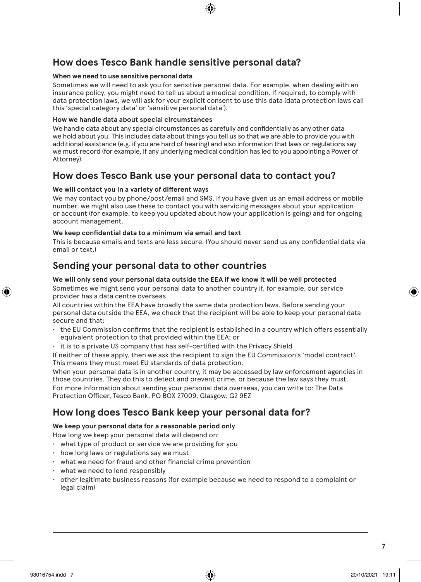# **How does Tesco Bank handle sensitive personal data?**

### **When we need to use sensitive personal data**

Sometimes we will need to ask you for sensitive personal data. For example, when dealing with an insurance policy, you might need to tell us about a medical condition. If required, to comply with data protection laws, we will ask for your explicit consent to use this data (data protection laws call this 'special category data' or 'sensitive personal data').

### **How we handle data about special circumstances**

We handle data about any special circumstances as carefully and confidentially as any other data we hold about you. This includes data about things you tell us so that we are able to provide you with additional assistance (e.g. if you are hard of hearing) and also information that laws or regulations say we must record (for example, if any underlying medical condition has led to you appointing a Power of Attorney).

### **How does Tesco Bank use your personal data to contact you?**

### **We will contact you in a variety of different ways**

We may contact you by phone/post/email and SMS. If you have given us an email address or mobile number, we might also use these to contact you with servicing messages about your application or account (for example, to keep you updated about how your application is going) and for ongoing account management.

### **We keep confidential data to a minimum via email and text**

This is because emails and texts are less secure. (You should never send us any confidential data via email or text.)

### **Sending your personal data to other countries**

### **We will only send your personal data outside the EEA if we know it will be well protected**

Sometimes we might send your personal data to another country if, for example, our service provider has a data centre overseas.

All countries within the EEA have broadly the same data protection laws. Before sending your personal data outside the EEA, we check that the recipient will be able to keep your personal data secure and that:

- the EU Commission confirms that the recipient is established in a country which offers essentially equivalent protection to that provided within the EEA; or
- it is to a private US company that has self-certified with the Privacy Shield

If neither of these apply, then we ask the recipient to sign the EU Commission's 'model contract'. This means they must meet EU standards of data protection.

When your personal data is in another country, it may be accessed by law enforcement agencies in those countries. They do this to detect and prevent crime, or because the law says they must. For more information about sending your personal data overseas, you can write to: The Data Protection Officer, Tesco Bank, PO BOX 27009, Glasgow, G2 9EZ

# **How long does Tesco Bank keep your personal data for?**

### **We keep your personal data for a reasonable period only**

How long we keep your personal data will depend on:

- what type of product or service we are providing for you
- how long laws or regulations say we must
- what we need for fraud and other financial crime prevention
- what we need to lend responsibly
- other legitimate business reasons (for example because we need to respond to a complaint or legal claim)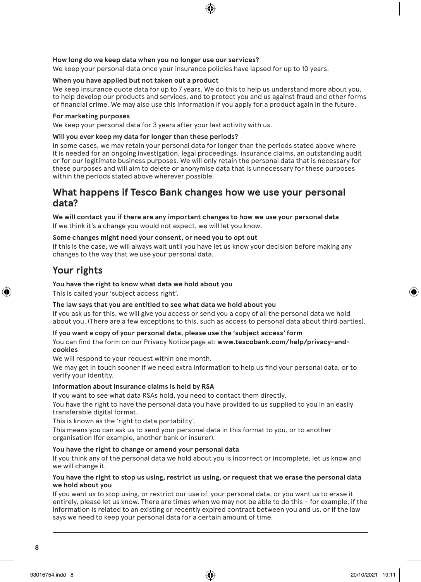### **How long do we keep data when you no longer use our services?**

We keep your personal data once your insurance policies have lapsed for up to 10 years.

### **When you have applied but not taken out a product**

We keep insurance quote data for up to 7 years. We do this to help us understand more about you, to help develop our products and services, and to protect you and us against fraud and other forms of financial crime. We may also use this information if you apply for a product again in the future.

### **For marketing purposes**

We keep your personal data for 3 years after your last activity with us.

### **Will you ever keep my data for longer than these periods?**

In some cases, we may retain your personal data for longer than the periods stated above where it is needed for an ongoing investigation, legal proceedings, insurance claims, an outstanding audit or for our legitimate business purposes. We will only retain the personal data that is necessary for these purposes and will aim to delete or anonymise data that is unnecessary for these purposes within the periods stated above wherever possible.

### **What happens if Tesco Bank changes how we use your personal data?**

### **We will contact you if there are any important changes to how we use your personal data**

If we think it's a change you would not expect, we will let you know.

### **Some changes might need your consent, or need you to opt out**

If this is the case, we will always wait until you have let us know your decision before making any changes to the way that we use your personal data.

# **Your rights**

### **You have the right to know what data we hold about you**

This is called your 'subject access right'.

### **The law says that you are entitled to see what data we hold about you**

If you ask us for this, we will give you access or send you a copy of all the personal data we hold about you. (There are a few exceptions to this, such as access to personal data about third parties).

#### **If you want a copy of your personal data, please use the 'subject access' form**

You can find the form on our Privacy Notice page at: **www.tescobank.com/help/privacy-andcookies**

We will respond to your request within one month.

We may get in touch sooner if we need extra information to help us find your personal data, or to verify your identity.

### **Information about insurance claims is held by RSA**

If you want to see what data RSAs hold, you need to contact them directly.

You have the right to have the personal data you have provided to us supplied to you in an easily transferable digital format.

This is known as the 'right to data portability'.

This means you can ask us to send your personal data in this format to you, or to another organisation (for example, another bank or insurer).

### **You have the right to change or amend your personal data**

If you think any of the personal data we hold about you is incorrect or incomplete, let us know and we will change it.

#### **You have the right to stop us using, restrict us using, or request that we erase the personal data we hold about you**

If you want us to stop using, or restrict our use of, your personal data, or you want us to erase it entirely, please let us know. There are times when we may not be able to do this – for example, if the information is related to an existing or recently expired contract between you and us, or if the law says we need to keep your personal data for a certain amount of time.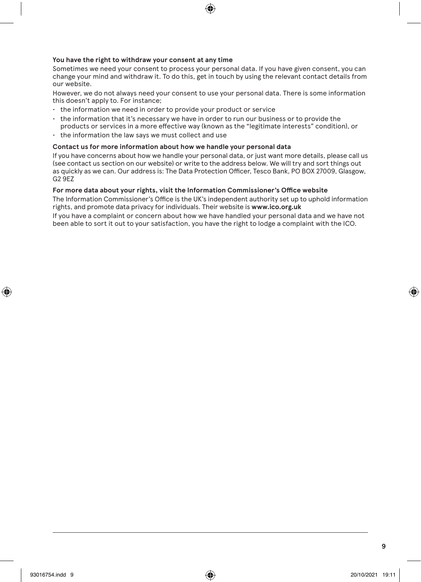### **You have the right to withdraw your consent at any time**

Sometimes we need your consent to process your personal data. If you have given consent, you can change your mind and withdraw it. To do this, get in touch by using the relevant contact details from our website.

However, we do not always need your consent to use your personal data. There is some information this doesn't apply to. For instance;

- the information we need in order to provide your product or service
- the information that it's necessary we have in order to run our business or to provide the products or services in a more effective way (known as the "legitimate interests" condition), or
- the information the law says we must collect and use

### **Contact us for more information about how we handle your personal data**

If you have concerns about how we handle your personal data, or just want more details, please call us (see contact us section on our website) or write to the address below. We will try and sort things out as quickly as we can. Our address is: The Data Protection Officer, Tesco Bank, PO BOX 27009, Glasgow, G2 9EZ

### **For more data about your rights, visit the Information Commissioner's Office website**

The Information Commissioner's Office is the UK's independent authority set up to uphold information rights, and promote data privacy for individuals. Their website is **www.ico.org.uk**

If you have a complaint or concern about how we have handled your personal data and we have not been able to sort it out to your satisfaction, you have the right to lodge a complaint with the ICO.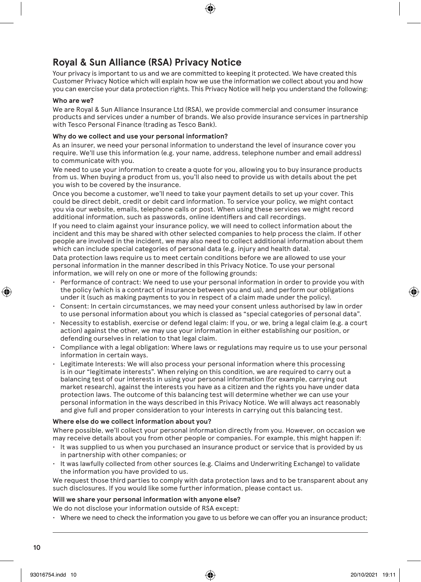# **Royal & Sun Alliance (RSA) Privacy Notice**

Your privacy is important to us and we are committed to keeping it protected. We have created this Customer Privacy Notice which will explain how we use the information we collect about you and how you can exercise your data protection rights. This Privacy Notice will help you understand the following:

#### **Who are we?**

We are Royal & Sun Alliance Insurance Ltd (RSA), we provide commercial and consumer insurance products and services under a number of brands. We also provide insurance services in partnership with Tesco Personal Finance (trading as Tesco Bank).

### **Why do we collect and use your personal information?**

As an insurer, we need your personal information to understand the level of insurance cover you require. We'll use this information (e.g. your name, address, telephone number and email address) to communicate with you.

We need to use your information to create a quote for you, allowing you to buy insurance products from us. When buying a product from us, you'll also need to provide us with details about the pet you wish to be covered by the insurance.

Once you become a customer, we'll need to take your payment details to set up your cover. This could be direct debit, credit or debit card information. To service your policy, we might contact you via our website, emails, telephone calls or post. When using these services we might record additional information, such as passwords, online identifiers and call recordings.

If you need to claim against your insurance policy, we will need to collect information about the incident and this may be shared with other selected companies to help process the claim. If other people are involved in the incident, we may also need to collect additional information about them which can include special categories of personal data (e.g. injury and health data).

Data protection laws require us to meet certain conditions before we are allowed to use your personal information in the manner described in this Privacy Notice. To use your personal information, we will rely on one or more of the following grounds:

- Performance of contract: We need to use your personal information in order to provide you with the policy (which is a contract of insurance between you and us), and perform our obligations under it (such as making payments to you in respect of a claim made under the policy).
- Consent: In certain circumstances, we may need your consent unless authorised by law in order to use personal information about you which is classed as "special categories of personal data".
- Necessity to establish, exercise or defend legal claim: If you, or we, bring a legal claim (e.g. a court action) against the other, we may use your information in either establishing our position, or defending ourselves in relation to that legal claim.
- Compliance with a legal obligation: Where laws or regulations may require us to use your personal information in certain ways.
- Legitimate Interests: We will also process your personal information where this processing is in our "legitimate interests". When relying on this condition, we are required to carry out a balancing test of our interests in using your personal information (for example, carrying out market research), against the interests you have as a citizen and the rights you have under data protection laws. The outcome of this balancing test will determine whether we can use your personal information in the ways described in this Privacy Notice. We will always act reasonably and give full and proper consideration to your interests in carrying out this balancing test.

### **Where else do we collect information about you?**

Where possible, we'll collect your personal information directly from you. However, on occasion we may receive details about you from other people or companies. For example, this might happen if:

- It was supplied to us when you purchased an insurance product or service that is provided by us in partnership with other companies; or
- It was lawfully collected from other sources (e.g. Claims and Underwriting Exchange) to validate the information you have provided to us.

We request those third parties to comply with data protection laws and to be transparent about any such disclosures. If you would like some further information, please contact us.

### **Will we share your personal information with anyone else?**

We do not disclose your information outside of RSA except:

• Where we need to check the information you gave to us before we can offer you an insurance product;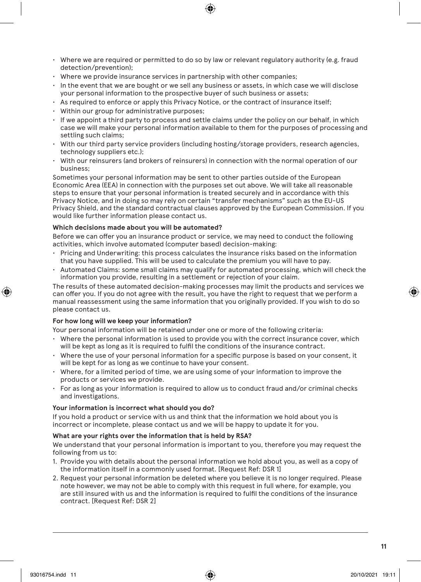- Where we are required or permitted to do so by law or relevant regulatory authority (e.g. fraud detection/prevention);
- Where we provide insurance services in partnership with other companies;
- In the event that we are bought or we sell any business or assets, in which case we will disclose your personal information to the prospective buyer of such business or assets;
- As required to enforce or apply this Privacy Notice, or the contract of insurance itself;
- Within our group for administrative purposes;
- If we appoint a third party to process and settle claims under the policy on our behalf, in which case we will make your personal information available to them for the purposes of processing and settling such claims;
- With our third party service providers (including hosting/storage providers, research agencies, technology suppliers etc.);
- With our reinsurers (and brokers of reinsurers) in connection with the normal operation of our business;

Sometimes your personal information may be sent to other parties outside of the European Economic Area (EEA) in connection with the purposes set out above. We will take all reasonable steps to ensure that your personal information is treated securely and in accordance with this Privacy Notice, and in doing so may rely on certain "transfer mechanisms" such as the EU-US Privacy Shield, and the standard contractual clauses approved by the European Commission. If you would like further information please contact us.

### **Which decisions made about you will be automated?**

Before we can offer you an insurance product or service, we may need to conduct the following activities, which involve automated (computer based) decision-making:

- Pricing and Underwriting: this process calculates the insurance risks based on the information that you have supplied. This will be used to calculate the premium you will have to pay.
- Automated Claims: some small claims may qualify for automated processing, which will check the information you provide, resulting in a settlement or rejection of your claim.

The results of these automated decision-making processes may limit the products and services we can offer you. If you do not agree with the result, you have the right to request that we perform a manual reassessment using the same information that you originally provided. If you wish to do so please contact us.

### **For how long will we keep your information?**

Your personal information will be retained under one or more of the following criteria:

- Where the personal information is used to provide you with the correct insurance cover, which will be kept as long as it is required to fulfil the conditions of the insurance contract.
- Where the use of your personal information for a specific purpose is based on your consent, it will be kept for as long as we continue to have your consent.
- Where, for a limited period of time, we are using some of your information to improve the products or services we provide.
- For as long as your information is required to allow us to conduct fraud and/or criminal checks and investigations.

#### **Your information is incorrect what should you do?**

If you hold a product or service with us and think that the information we hold about you is incorrect or incomplete, please contact us and we will be happy to update it for you.

#### **What are your rights over the information that is held by RSA?**

We understand that your personal information is important to you, therefore you may request the following from us to:

- 1. Provide you with details about the personal information we hold about you, as well as a copy of the information itself in a commonly used format. [Request Ref: DSR 1]
- 2. Request your personal information be deleted where you believe it is no longer required. Please note however, we may not be able to comply with this request in full where, for example, you are still insured with us and the information is required to fulfil the conditions of the insurance contract. [Request Ref: DSR 2]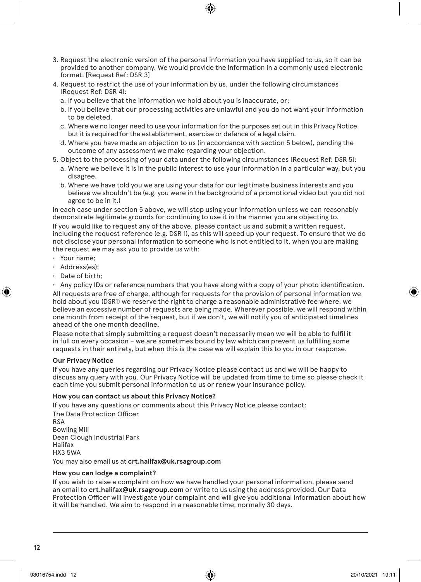- 3. Request the electronic version of the personal information you have supplied to us, so it can be provided to another company. We would provide the information in a commonly used electronic format. [Request Ref: DSR 3]
- 4. Request to restrict the use of your information by us, under the following circumstances [Request Ref: DSR 4]:
	- a. If you believe that the information we hold about you is inaccurate, or;
	- b. If you believe that our processing activities are unlawful and you do not want your information to be deleted.
	- c. Where we no longer need to use your information for the purposes set out in this Privacy Notice, but it is required for the establishment, exercise or defence of a legal claim.
	- d. Where you have made an objection to us (in accordance with section 5 below), pending the outcome of any assessment we make regarding your objection.
- 5. Object to the processing of your data under the following circumstances [Request Ref: DSR 5]:
	- a. Where we believe it is in the public interest to use your information in a particular way, but you disagree.
	- b. Where we have told you we are using your data for our legitimate business interests and you believe we shouldn't be (e.g. you were in the background of a promotional video but you did not agree to be in it.)

In each case under section 5 above, we will stop using your information unless we can reasonably demonstrate legitimate grounds for continuing to use it in the manner you are objecting to.

If you would like to request any of the above, please contact us and submit a written request, including the request reference (e.g. DSR 1), as this will speed up your request. To ensure that we do not disclose your personal information to someone who is not entitled to it, when you are making the request we may ask you to provide us with:

- Your name;
- Address(es);
- Date of birth;
- Any policy IDs or reference numbers that you have along with a copy of your photo identification.

All requests are free of charge, although for requests for the provision of personal information we hold about you (DSR1) we reserve the right to charge a reasonable administrative fee where, we believe an excessive number of requests are being made. Wherever possible, we will respond within one month from receipt of the request, but if we don't, we will notify you of anticipated timelines ahead of the one month deadline.

Please note that simply submitting a request doesn't necessarily mean we will be able to fulfil it in full on every occasion – we are sometimes bound by law which can prevent us fulfilling some requests in their entirety, but when this is the case we will explain this to you in our response.

#### **Our Privacy Notice**

If you have any queries regarding our Privacy Notice please contact us and we will be happy to discuss any query with you. Our Privacy Notice will be updated from time to time so please check it each time you submit personal information to us or renew your insurance policy.

#### **How you can contact us about this Privacy Notice?**

If you have any questions or comments about this Privacy Notice please contact: The Data Protection Officer RSA Bowling Mill Dean Clough Industrial Park Halifax HX3 5WA

You may also email us at **crt.halifax@uk.rsagroup.com**

### **How you can lodge a complaint?**

If you wish to raise a complaint on how we have handled your personal information, please send an email to **crt.halifax@uk.rsagroup.com** or write to us using the address provided. Our Data Protection Officer will investigate your complaint and will give you additional information about how it will be handled. We aim to respond in a reasonable time, normally 30 days.